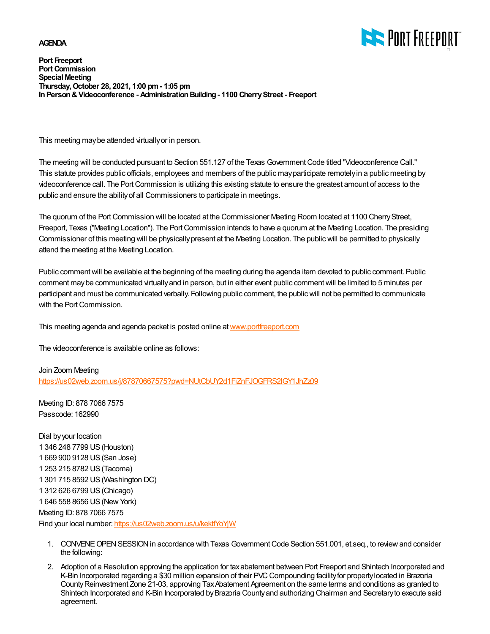## **AGENDA**



**Port Freeport Port Commission Special Meeting Thursday, October 28, 2021, 1:00 pm - 1:05 pm In Person & Videoconference - Administration Building - 1100 Cherry Street - Freeport**

This meeting may be attended virtually or in person.

The meeting will be conducted pursuant to Section 551.127 of the Texas Government Code titled "Videoconference Call." This statute provides public officials, employees and members of the public may participate remotely in a public meeting by videoconference call. The Port Commission is utilizing this existing statute to ensure the greatest amount of access to the public and ensure the ability of all Commissioners to participate in meetings.

The quorum of the Port Commission will be located at the Commissioner Meeting Room located at 1100 Cherry Street, Freeport, Texas ("Meeting Location"). The Port Commission intends to have a quorum at the Meeting Location. The presiding Commissioner of this meeting will be physically present at the Meeting Location. The public will be permitted to physically attend the meeting at the Meeting Location.

Public comment will be available at the beginning of the meeting during the agenda item devoted to public comment. Public comment may be communicated virtually and in person, but in either event public comment will be limited to 5 minutes per participant and must be communicated verbally. Following public comment, the public will not be permitted to communicate with the Port Commission.

This meeting agenda and agenda packet is posted online at [www.portfreeport.com](http://www.portfreeport.com)

The videoconference is available online as follows:

Join Zoom Meeting <https://us02web.zoom.us/j/87870667575?pwd=NUtCbUY2d1FiZnFJOGFRS2lGY1JhZz09>

Meeting ID: 878 7066 7575 Passcode: 162990

Dial by your location 1 346 248 7799 US (Houston) 1 669 900 9128 US (San Jose) 1 253 215 8782 US (Tacoma) 1 301 715 8592 US (Washington DC) 1 312 626 6799 US (Chicago) 1 646 558 8656 US (New York) Meeting ID: 878 7066 7575 Find your local number:<https://us02web.zoom.us/u/kektfYoYjW>

- 1. CONVENE OPEN SESSION in accordance with Texas Government Code Section 551.001, et.seq., to review and consider the following:
- 2. Adoption of a Resolution approving the application for tax abatement between Port Freeport and Shintech Incorporated and K-Bin Incorporated regarding a \$30 million expansion of their PVC Compounding facility for property located in Brazoria County Reinvestment Zone 21-03, approving Tax Abatement Agreement on the same terms and conditions as granted to Shintech Incorporated and K-Bin Incorporated by Brazoria County and authorizing Chairman and Secretary to execute said agreement.